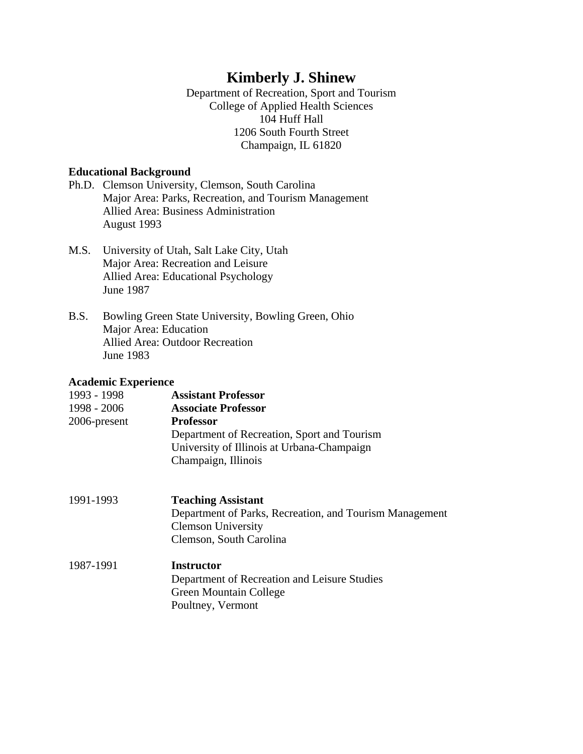# **Kimberly J. Shinew**

Department of Recreation, Sport and Tourism College of Applied Health Sciences 104 Huff Hall 1206 South Fourth Street Champaign, IL 61820

## **Educational Background**

- Ph.D. Clemson University, Clemson, South Carolina Major Area: Parks, Recreation, and Tourism Management Allied Area: Business Administration August 1993
- M.S. University of Utah, Salt Lake City, Utah Major Area: Recreation and Leisure Allied Area: Educational Psychology June 1987
- B.S. Bowling Green State University, Bowling Green, Ohio Major Area: Education Allied Area: Outdoor Recreation June 1983

## **Academic Experience**

| 1993 - 1998  | <b>Assistant Professor</b>                  |
|--------------|---------------------------------------------|
| 1998 - 2006  | <b>Associate Professor</b>                  |
| 2006-present | <b>Professor</b>                            |
|              | Department of Recreation, Sport and Tourism |
|              | University of Illinois at Urbana-Champaign  |
|              | Champaign, Illinois                         |
|              |                                             |

- 1991-1993 **Teaching Assistant**  Department of Parks, Recreation, and Tourism Management Clemson University Clemson, South Carolina
- 1987-1991 **Instructor**  Department of Recreation and Leisure Studies Green Mountain College Poultney, Vermont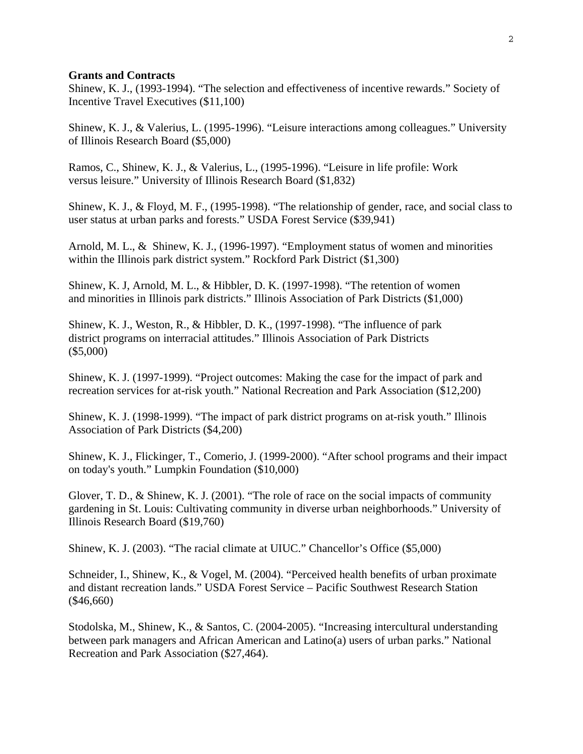#### **Grants and Contracts**

Shinew, K. J., (1993-1994). "The selection and effectiveness of incentive rewards." Society of Incentive Travel Executives (\$11,100)

Shinew, K. J., & Valerius, L. (1995-1996). "Leisure interactions among colleagues." University of Illinois Research Board (\$5,000)

Ramos, C., Shinew, K. J., & Valerius, L., (1995-1996). "Leisure in life profile: Work versus leisure." University of Illinois Research Board (\$1,832)

Shinew, K. J., & Floyd, M. F., (1995-1998). "The relationship of gender, race, and social class to user status at urban parks and forests." USDA Forest Service (\$39,941)

Arnold, M. L., & Shinew, K. J., (1996-1997). "Employment status of women and minorities within the Illinois park district system." Rockford Park District (\$1,300)

Shinew, K. J, Arnold, M. L., & Hibbler, D. K. (1997-1998). "The retention of women and minorities in Illinois park districts." Illinois Association of Park Districts (\$1,000)

Shinew, K. J., Weston, R., & Hibbler, D. K., (1997-1998). "The influence of park district programs on interracial attitudes." Illinois Association of Park Districts (\$5,000)

Shinew, K. J. (1997-1999). "Project outcomes: Making the case for the impact of park and recreation services for at-risk youth." National Recreation and Park Association (\$12,200)

Shinew, K. J. (1998-1999). "The impact of park district programs on at-risk youth." Illinois Association of Park Districts (\$4,200)

Shinew, K. J., Flickinger, T., Comerio, J. (1999-2000). "After school programs and their impact on today's youth." Lumpkin Foundation (\$10,000)

Glover, T. D., & Shinew, K. J. (2001). "The role of race on the social impacts of community gardening in St. Louis: Cultivating community in diverse urban neighborhoods." University of Illinois Research Board (\$19,760)

Shinew, K. J. (2003). "The racial climate at UIUC." Chancellor's Office (\$5,000)

Schneider, I., Shinew, K., & Vogel, M. (2004). "Perceived health benefits of urban proximate and distant recreation lands." USDA Forest Service – Pacific Southwest Research Station (\$46,660)

Stodolska, M., Shinew, K., & Santos, C. (2004-2005). "Increasing intercultural understanding between park managers and African American and Latino(a) users of urban parks." National Recreation and Park Association (\$27,464).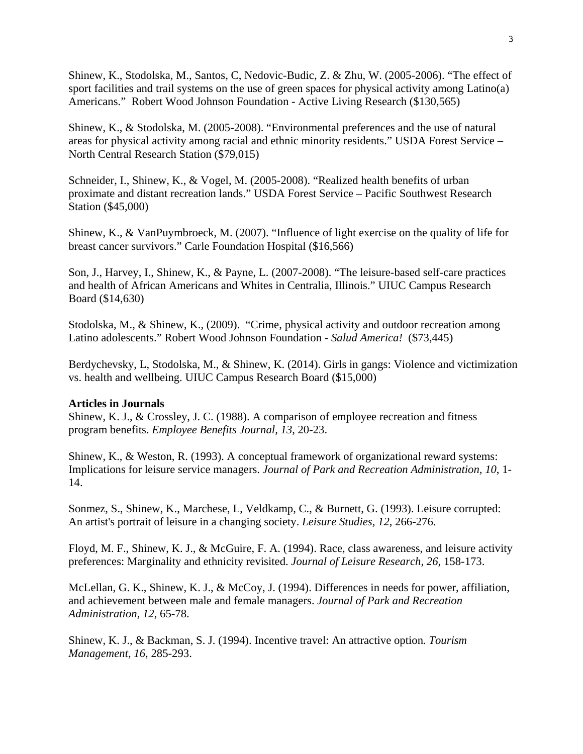Shinew, K., Stodolska, M., Santos, C, Nedovic-Budic, Z. & Zhu, W. (2005-2006). "The effect of sport facilities and trail systems on the use of green spaces for physical activity among Latino(a) Americans." Robert Wood Johnson Foundation - Active Living Research (\$130,565)

Shinew, K., & Stodolska, M. (2005-2008). "Environmental preferences and the use of natural areas for physical activity among racial and ethnic minority residents." USDA Forest Service – North Central Research Station (\$79,015)

Schneider, I., Shinew, K., & Vogel, M. (2005-2008). "Realized health benefits of urban proximate and distant recreation lands." USDA Forest Service – Pacific Southwest Research Station (\$45,000)

Shinew, K., & VanPuymbroeck, M. (2007). "Influence of light exercise on the quality of life for breast cancer survivors." Carle Foundation Hospital (\$16,566)

Son, J., Harvey, I., Shinew, K., & Payne, L. (2007-2008). "The leisure-based self-care practices and health of African Americans and Whites in Centralia, Illinois." UIUC Campus Research Board (\$14,630)

Stodolska, M., & Shinew, K., (2009). "Crime, physical activity and outdoor recreation among Latino adolescents." Robert Wood Johnson Foundation - *Salud America!* (\$73,445)

Berdychevsky, L, Stodolska, M., & Shinew, K. (2014). Girls in gangs: Violence and victimization vs. health and wellbeing. UIUC Campus Research Board (\$15,000)

#### **Articles in Journals**

Shinew, K. J., & Crossley, J. C. (1988). A comparison of employee recreation and fitness program benefits. *Employee Benefits Journal, 13,* 20-23.

Shinew, K., & Weston, R. (1993). A conceptual framework of organizational reward systems: Implications for leisure service managers. *Journal of Park and Recreation Administration, 10*, 1- 14.

Sonmez, S., Shinew, K., Marchese, L, Veldkamp, C., & Burnett, G. (1993). Leisure corrupted: An artist's portrait of leisure in a changing society. *Leisure Studies, 12*, 266-276.

Floyd, M. F., Shinew, K. J., & McGuire, F. A. (1994). Race, class awareness, and leisure activity preferences: Marginality and ethnicity revisited. *Journal of Leisure Research, 26*, 158-173.

McLellan, G. K., Shinew, K. J., & McCoy, J. (1994). Differences in needs for power, affiliation, and achievement between male and female managers. *Journal of Park and Recreation Administration, 12*, 65-78.

Shinew, K. J., & Backman, S. J. (1994). Incentive travel: An attractive option*. Tourism Management, 16*, 285-293.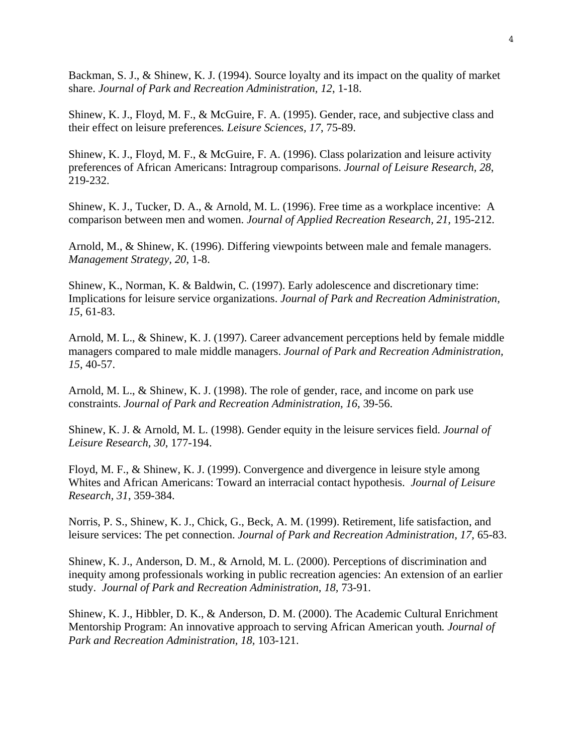Backman, S. J., & Shinew, K. J. (1994). Source loyalty and its impact on the quality of market share. *Journal of Park and Recreation Administration, 12*, 1-18.

Shinew, K. J., Floyd, M. F., & McGuire, F. A. (1995). Gender, race, and subjective class and their effect on leisure preferences*. Leisure Sciences, 17*, 75-89.

Shinew, K. J., Floyd, M. F., & McGuire, F. A. (1996). Class polarization and leisure activity preferences of African Americans: Intragroup comparisons. *Journal of Leisure Research, 28*, 219-232.

Shinew, K. J., Tucker, D. A., & Arnold, M. L. (1996). Free time as a workplace incentive: A comparison between men and women. *Journal of Applied Recreation Research, 21,* 195-212.

Arnold, M., & Shinew, K. (1996). Differing viewpoints between male and female managers. *Management Strategy, 20*, 1-8.

Shinew, K., Norman, K. & Baldwin, C. (1997). Early adolescence and discretionary time: Implications for leisure service organizations. *Journal of Park and Recreation Administration, 15*, 61-83.

Arnold, M. L., & Shinew, K. J. (1997). Career advancement perceptions held by female middle managers compared to male middle managers. *Journal of Park and Recreation Administration, 15*, 40-57.

Arnold, M. L., & Shinew, K. J. (1998). The role of gender, race, and income on park use constraints. *Journal of Park and Recreation Administration, 16,* 39-56.

Shinew, K. J. & Arnold, M. L. (1998). Gender equity in the leisure services field. *Journal of Leisure Research, 30*, 177-194.

Floyd, M. F., & Shinew, K. J. (1999). Convergence and divergence in leisure style among Whites and African Americans: Toward an interracial contact hypothesis. *Journal of Leisure Research, 31*, 359-384.

Norris, P. S., Shinew, K. J., Chick, G., Beck, A. M. (1999). Retirement, life satisfaction, and leisure services: The pet connection. *Journal of Park and Recreation Administration, 17,* 65-83.

Shinew, K. J., Anderson, D. M., & Arnold, M. L. (2000). Perceptions of discrimination and inequity among professionals working in public recreation agencies: An extension of an earlier study. *Journal of Park and Recreation Administration, 18,* 73-91.

Shinew, K. J., Hibbler, D. K., & Anderson, D. M. (2000). The Academic Cultural Enrichment Mentorship Program: An innovative approach to serving African American youth*. Journal of Park and Recreation Administration, 18,* 103-121.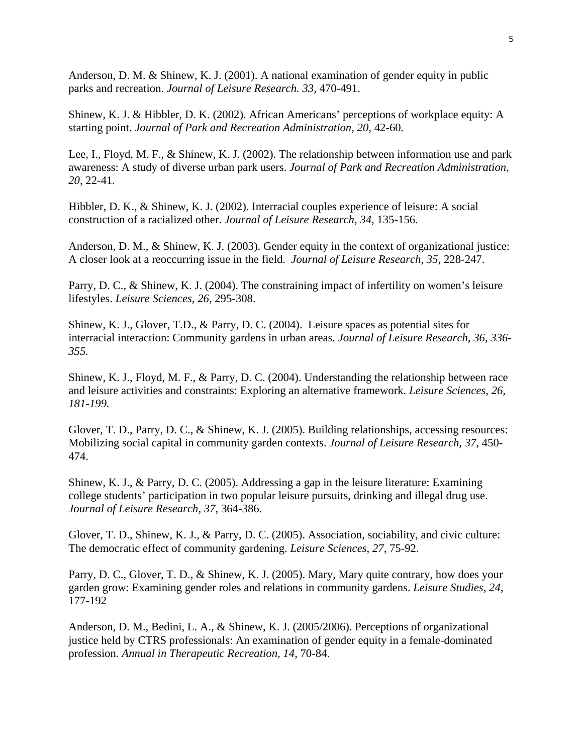Anderson, D. M. & Shinew, K. J. (2001). A national examination of gender equity in public parks and recreation. *Journal of Leisure Research. 33,* 470-491.

Shinew, K. J. & Hibbler, D. K. (2002). African Americans' perceptions of workplace equity: A starting point. *Journal of Park and Recreation Administration, 20,* 42-60*.* 

Lee, I., Floyd, M. F., & Shinew, K. J. (2002). The relationship between information use and park awareness: A study of diverse urban park users. *Journal of Park and Recreation Administration, 20,* 22-41*.* 

Hibbler, D. K., & Shinew, K. J. (2002). Interracial couples experience of leisure: A social construction of a racialized other. *Journal of Leisure Research, 34*, 135-156.

Anderson, D. M., & Shinew, K. J. (2003). Gender equity in the context of organizational justice: A closer look at a reoccurring issue in the field. *Journal of Leisure Research, 35*, 228-247.

Parry, D. C., & Shinew, K. J. (2004). The constraining impact of infertility on women's leisure lifestyles. *Leisure Sciences, 26*, 295-308.

Shinew, K. J., Glover, T.D., & Parry, D. C. (2004). Leisure spaces as potential sites for interracial interaction: Community gardens in urban areas. *Journal of Leisure Research, 36, 336- 355.* 

Shinew, K. J., Floyd, M. F., & Parry, D. C. (2004). Understanding the relationship between race and leisure activities and constraints: Exploring an alternative framework. *Leisure Sciences, 26, 181-199.*

Glover, T. D., Parry, D. C., & Shinew, K. J. (2005). Building relationships, accessing resources: Mobilizing social capital in community garden contexts. *Journal of Leisure Research, 37,* 450- 474.

Shinew, K. J., & Parry, D. C. (2005). Addressing a gap in the leisure literature: Examining college students' participation in two popular leisure pursuits, drinking and illegal drug use. *Journal of Leisure Research, 37,* 364-386.

Glover, T. D., Shinew, K. J., & Parry, D. C. (2005). Association, sociability, and civic culture: The democratic effect of community gardening. *Leisure Sciences*, *27,* 75-92.

Parry, D. C., Glover, T. D., & Shinew, K. J. (2005). Mary, Mary quite contrary, how does your garden grow: Examining gender roles and relations in community gardens. *Leisure Studies, 24,*  177-192

Anderson, D. M., Bedini, L. A., & Shinew, K. J. (2005/2006). Perceptions of organizational justice held by CTRS professionals: An examination of gender equity in a female-dominated profession. *Annual in Therapeutic Recreation, 14*, 70-84.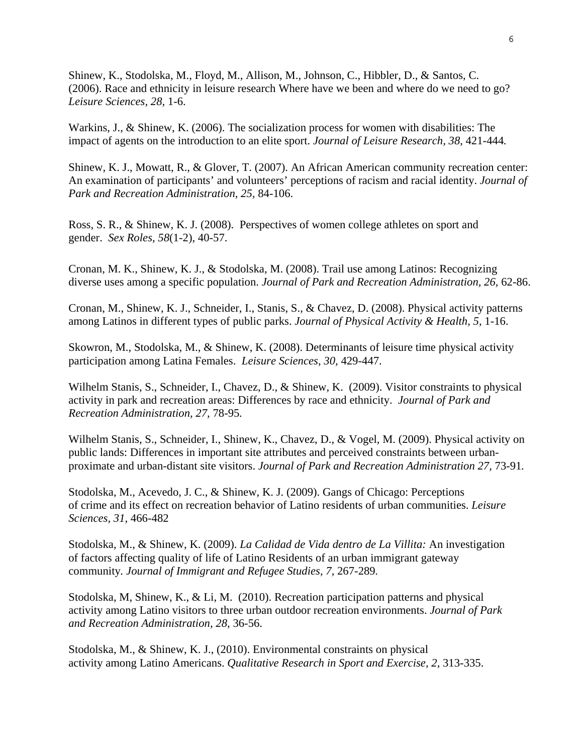Shinew, K., Stodolska, M., Floyd, M., Allison, M., Johnson, C., Hibbler, D., & Santos, C. (2006). Race and ethnicity in leisure research Where have we been and where do we need to go? *Leisure Sciences, 28,* 1-6.

Warkins, J., & Shinew, K. (2006). The socialization process for women with disabilities: The impact of agents on the introduction to an elite sport. *Journal of Leisure Research, 38*, 421-444*.* 

Shinew, K. J., Mowatt, R., & Glover, T. (2007). An African American community recreation center: An examination of participants' and volunteers' perceptions of racism and racial identity. *Journal of Park and Recreation Administration, 25,* 84-106.

Ross, S. R., & Shinew, K. J. (2008). Perspectives of women college athletes on sport and gender. *Sex Roles, 58*(1-2), 40-57.

Cronan, M. K., Shinew, K. J., & Stodolska, M. (2008). Trail use among Latinos: Recognizing diverse uses among a specific population. *Journal of Park and Recreation Administration, 26,* 62-86.

Cronan, M., Shinew, K. J., Schneider, I., Stanis, S., & Chavez, D. (2008). Physical activity patterns among Latinos in different types of public parks. *Journal of Physical Activity & Health, 5,* 1-16.

Skowron, M., Stodolska, M., & Shinew, K. (2008). Determinants of leisure time physical activity participation among Latina Females. *Leisure Sciences, 30,* 429-447.

Wilhelm Stanis, S., Schneider, I., Chavez, D., & Shinew, K. (2009). Visitor constraints to physical activity in park and recreation areas: Differences by race and ethnicity. *Journal of Park and Recreation Administration, 27,* 78-95*.* 

Wilhelm Stanis, S., Schneider, I., Shinew, K., Chavez, D., & Vogel, M. (2009). Physical activity on public lands: Differences in important site attributes and perceived constraints between urbanproximate and urban-distant site visitors. *Journal of Park and Recreation Administration 27,* 73-91*.* 

Stodolska, M., Acevedo, J. C., & Shinew, K. J. (2009). Gangs of Chicago: Perceptions of crime and its effect on recreation behavior of Latino residents of urban communities. *Leisure Sciences, 31,* 466-482

Stodolska, M., & Shinew, K. (2009). *La Calidad de Vida dentro de La Villita:* An investigation of factors affecting quality of life of Latino Residents of an urban immigrant gateway community*. Journal of Immigrant and Refugee Studies, 7,* 267-289*.* 

Stodolska, M, Shinew, K., & Li, M. (2010). Recreation participation patterns and physical activity among Latino visitors to three urban outdoor recreation environments. *Journal of Park and Recreation Administration, 28,* 36-56.

Stodolska, M., & Shinew, K. J., (2010). Environmental constraints on physical activity among Latino Americans. *Qualitative Research in Sport and Exercise, 2,* 313-335.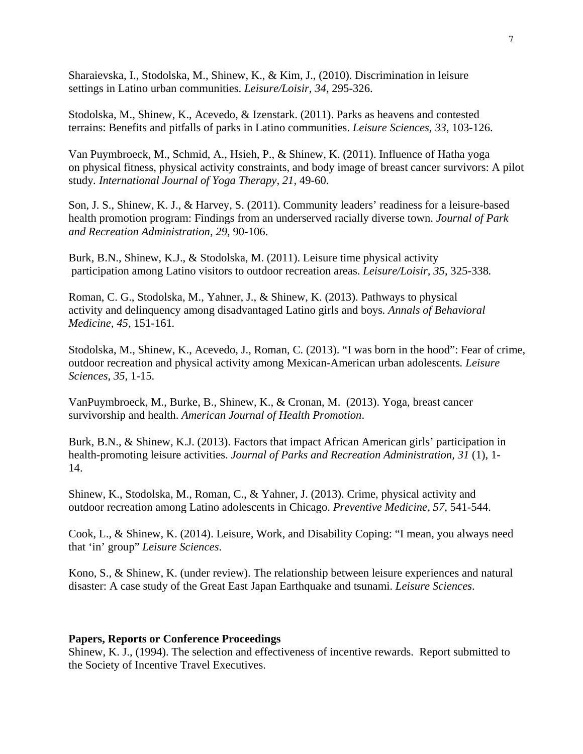Sharaievska, I., Stodolska, M., Shinew, K., & Kim, J., (2010). Discrimination in leisure settings in Latino urban communities. *Leisure/Loisir, 34,* 295-326.

Stodolska, M., Shinew, K., Acevedo, & Izenstark. (2011). Parks as heavens and contested terrains: Benefits and pitfalls of parks in Latino communities. *Leisure Sciences, 33*, 103-126.

Van Puymbroeck, M., Schmid, A., Hsieh, P., & Shinew, K. (2011). Influence of Hatha yoga on physical fitness, physical activity constraints, and body image of breast cancer survivors: A pilot study*. International Journal of Yoga Therapy, 21,* 49-60.

Son, J. S., Shinew, K. J., & Harvey, S. (2011). Community leaders' readiness for a leisure-based health promotion program: Findings from an underserved racially diverse town. *Journal of Park and Recreation Administration, 29,* 90-106.

Burk, B.N., Shinew, K.J., & Stodolska, M. (2011). Leisure time physical activity participation among Latino visitors to outdoor recreation areas. *Leisure/Loisir, 35*, 325-338*.*

Roman, C. G., Stodolska, M., Yahner, J., & Shinew, K. (2013). Pathways to physical activity and delinquency among disadvantaged Latino girls and boys*. Annals of Behavioral Medicine, 45,* 151-161*.* 

Stodolska, M., Shinew, K., Acevedo, J., Roman, C. (2013). "I was born in the hood": Fear of crime, outdoor recreation and physical activity among Mexican-American urban adolescents*. Leisure Sciences, 35*, 1-15.

VanPuymbroeck, M., Burke, B., Shinew, K., & Cronan, M. (2013). Yoga, breast cancer survivorship and health. *American Journal of Health Promotion*.

Burk, B.N., & Shinew, K.J. (2013). Factors that impact African American girls' participation in health-promoting leisure activities. *Journal of Parks and Recreation Administration, 31* (1), 1- 14.

Shinew, K., Stodolska, M., Roman, C., & Yahner, J. (2013). Crime, physical activity and outdoor recreation among Latino adolescents in Chicago. *Preventive Medicine, 57,* 541-544.

Cook, L., & Shinew, K. (2014). Leisure, Work, and Disability Coping: "I mean, you always need that 'in' group" *Leisure Sciences*.

Kono, S., & Shinew, K. (under review). The relationship between leisure experiences and natural disaster: A case study of the Great East Japan Earthquake and tsunami. *Leisure Sciences*.

#### **Papers, Reports or Conference Proceedings**

Shinew, K. J., (1994). The selection and effectiveness of incentive rewards. Report submitted to the Society of Incentive Travel Executives.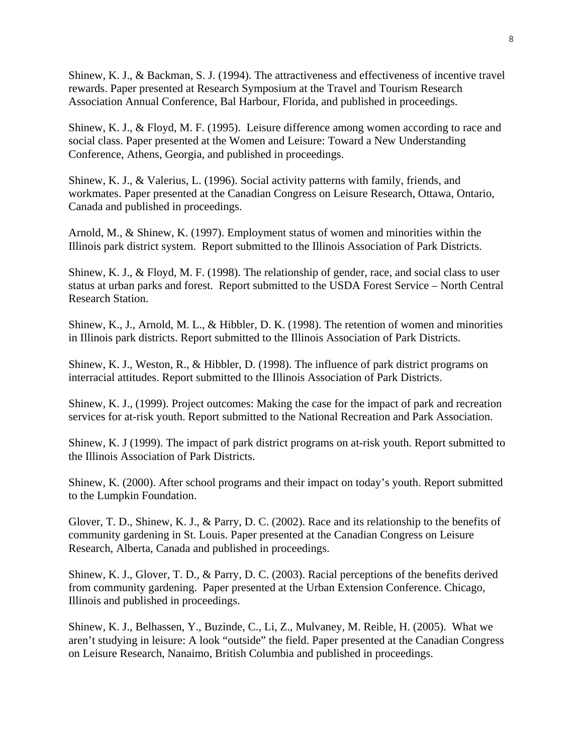Shinew, K. J., & Backman, S. J. (1994). The attractiveness and effectiveness of incentive travel rewards. Paper presented at Research Symposium at the Travel and Tourism Research Association Annual Conference, Bal Harbour, Florida, and published in proceedings.

Shinew, K. J., & Floyd, M. F. (1995). Leisure difference among women according to race and social class. Paper presented at the Women and Leisure: Toward a New Understanding Conference, Athens, Georgia, and published in proceedings.

Shinew, K. J., & Valerius, L. (1996). Social activity patterns with family, friends, and workmates. Paper presented at the Canadian Congress on Leisure Research, Ottawa, Ontario, Canada and published in proceedings.

Arnold, M., & Shinew, K. (1997). Employment status of women and minorities within the Illinois park district system. Report submitted to the Illinois Association of Park Districts.

Shinew, K. J., & Floyd, M. F. (1998). The relationship of gender, race, and social class to user status at urban parks and forest. Report submitted to the USDA Forest Service – North Central Research Station.

Shinew, K., J., Arnold, M. L., & Hibbler, D. K. (1998). The retention of women and minorities in Illinois park districts. Report submitted to the Illinois Association of Park Districts.

Shinew, K. J., Weston, R., & Hibbler, D. (1998). The influence of park district programs on interracial attitudes. Report submitted to the Illinois Association of Park Districts.

Shinew, K. J., (1999). Project outcomes: Making the case for the impact of park and recreation services for at-risk youth. Report submitted to the National Recreation and Park Association.

Shinew, K. J (1999). The impact of park district programs on at-risk youth. Report submitted to the Illinois Association of Park Districts.

Shinew, K. (2000). After school programs and their impact on today's youth. Report submitted to the Lumpkin Foundation.

Glover, T. D., Shinew, K. J., & Parry, D. C. (2002). Race and its relationship to the benefits of community gardening in St. Louis. Paper presented at the Canadian Congress on Leisure Research, Alberta, Canada and published in proceedings.

Shinew, K. J., Glover, T. D., & Parry, D. C. (2003). Racial perceptions of the benefits derived from community gardening. Paper presented at the Urban Extension Conference. Chicago, Illinois and published in proceedings.

Shinew, K. J., Belhassen, Y., Buzinde, C., Li, Z., Mulvaney, M. Reible, H. (2005). What we aren't studying in leisure: A look "outside" the field. Paper presented at the Canadian Congress on Leisure Research, Nanaimo, British Columbia and published in proceedings.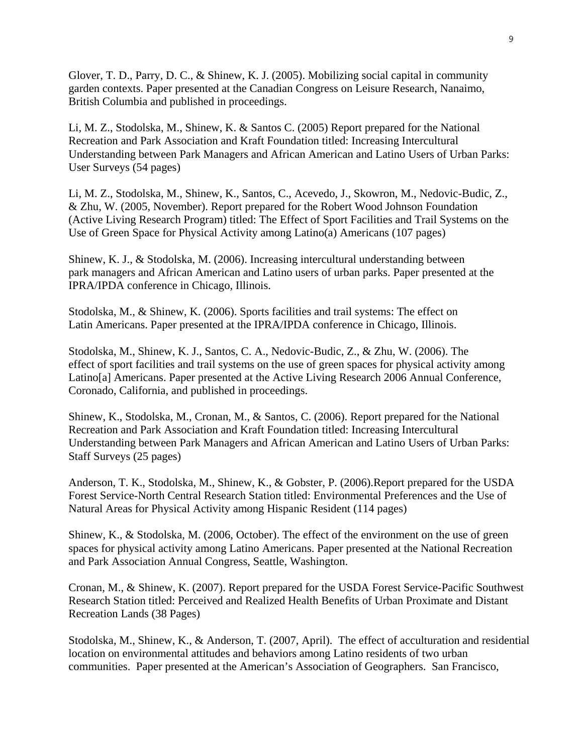Glover, T. D., Parry, D. C., & Shinew, K. J. (2005). Mobilizing social capital in community garden contexts. Paper presented at the Canadian Congress on Leisure Research, Nanaimo, British Columbia and published in proceedings.

Li, M. Z., Stodolska, M., Shinew, K. & Santos C. (2005) Report prepared for the National Recreation and Park Association and Kraft Foundation titled: Increasing Intercultural Understanding between Park Managers and African American and Latino Users of Urban Parks: User Surveys (54 pages)

Li, M. Z., Stodolska, M., Shinew, K., Santos, C., Acevedo, J., Skowron, M., Nedovic-Budic, Z., & Zhu, W. (2005, November). Report prepared for the Robert Wood Johnson Foundation (Active Living Research Program) titled: The Effect of Sport Facilities and Trail Systems on the Use of Green Space for Physical Activity among Latino(a) Americans (107 pages)

Shinew, K. J., & Stodolska, M. (2006). Increasing intercultural understanding between park managers and African American and Latino users of urban parks. Paper presented at the IPRA/IPDA conference in Chicago, Illinois.

Stodolska, M., & Shinew, K. (2006). Sports facilities and trail systems: The effect on Latin Americans. Paper presented at the IPRA/IPDA conference in Chicago, Illinois.

Stodolska, M., Shinew, K. J., Santos, C. A., Nedovic-Budic, Z., & Zhu, W. (2006). The effect of sport facilities and trail systems on the use of green spaces for physical activity among Latino[a] Americans. Paper presented at the Active Living Research 2006 Annual Conference, Coronado, California, and published in proceedings.

Shinew, K., Stodolska, M., Cronan, M., & Santos, C. (2006). Report prepared for the National Recreation and Park Association and Kraft Foundation titled: Increasing Intercultural Understanding between Park Managers and African American and Latino Users of Urban Parks: Staff Surveys (25 pages)

Anderson, T. K., Stodolska, M., Shinew, K., & Gobster, P. (2006).Report prepared for the USDA Forest Service-North Central Research Station titled: Environmental Preferences and the Use of Natural Areas for Physical Activity among Hispanic Resident (114 pages)

Shinew, K., & Stodolska, M. (2006, October). The effect of the environment on the use of green spaces for physical activity among Latino Americans. Paper presented at the National Recreation and Park Association Annual Congress, Seattle, Washington.

Cronan, M., & Shinew, K. (2007). Report prepared for the USDA Forest Service-Pacific Southwest Research Station titled: Perceived and Realized Health Benefits of Urban Proximate and Distant Recreation Lands (38 Pages)

Stodolska, M., Shinew, K., & Anderson, T. (2007, April). The effect of acculturation and residential location on environmental attitudes and behaviors among Latino residents of two urban communities. Paper presented at the American's Association of Geographers. San Francisco,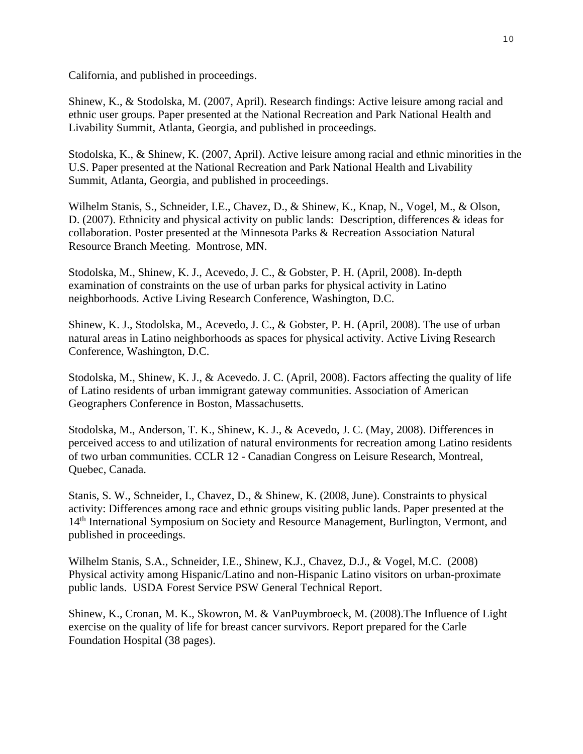California, and published in proceedings.

Shinew, K., & Stodolska, M. (2007, April). Research findings: Active leisure among racial and ethnic user groups. Paper presented at the National Recreation and Park National Health and Livability Summit, Atlanta, Georgia, and published in proceedings.

Stodolska, K., & Shinew, K. (2007, April). Active leisure among racial and ethnic minorities in the U.S. Paper presented at the National Recreation and Park National Health and Livability Summit, Atlanta, Georgia, and published in proceedings.

Wilhelm Stanis, S., Schneider, I.E., Chavez, D., & Shinew, K., Knap, N., Vogel, M., & Olson, D. (2007). Ethnicity and physical activity on public lands: Description, differences & ideas for collaboration. Poster presented at the Minnesota Parks & Recreation Association Natural Resource Branch Meeting. Montrose, MN.

Stodolska, M., Shinew, K. J., Acevedo, J. C., & Gobster, P. H. (April, 2008). In-depth examination of constraints on the use of urban parks for physical activity in Latino neighborhoods. Active Living Research Conference, Washington, D.C.

Shinew, K. J., Stodolska, M., Acevedo, J. C., & Gobster, P. H. (April, 2008). The use of urban natural areas in Latino neighborhoods as spaces for physical activity. Active Living Research Conference, Washington, D.C.

Stodolska, M., Shinew, K. J., & Acevedo. J. C. (April, 2008). Factors affecting the quality of life of Latino residents of urban immigrant gateway communities. Association of American Geographers Conference in Boston, Massachusetts.

Stodolska, M., Anderson, T. K., Shinew, K. J., & Acevedo, J. C. (May, 2008). Differences in perceived access to and utilization of natural environments for recreation among Latino residents of two urban communities. CCLR 12 - Canadian Congress on Leisure Research, Montreal, Quebec, Canada.

Stanis, S. W., Schneider, I., Chavez, D., & Shinew, K. (2008, June). Constraints to physical activity: Differences among race and ethnic groups visiting public lands. Paper presented at the 14<sup>th</sup> International Symposium on Society and Resource Management, Burlington, Vermont, and published in proceedings.

Wilhelm Stanis, S.A., Schneider, I.E., Shinew, K.J., Chavez, D.J., & Vogel, M.C. (2008) Physical activity among Hispanic/Latino and non-Hispanic Latino visitors on urban-proximate public lands. USDA Forest Service PSW General Technical Report.

Shinew, K., Cronan, M. K., Skowron, M. & VanPuymbroeck, M. (2008).The Influence of Light exercise on the quality of life for breast cancer survivors. Report prepared for the Carle Foundation Hospital (38 pages).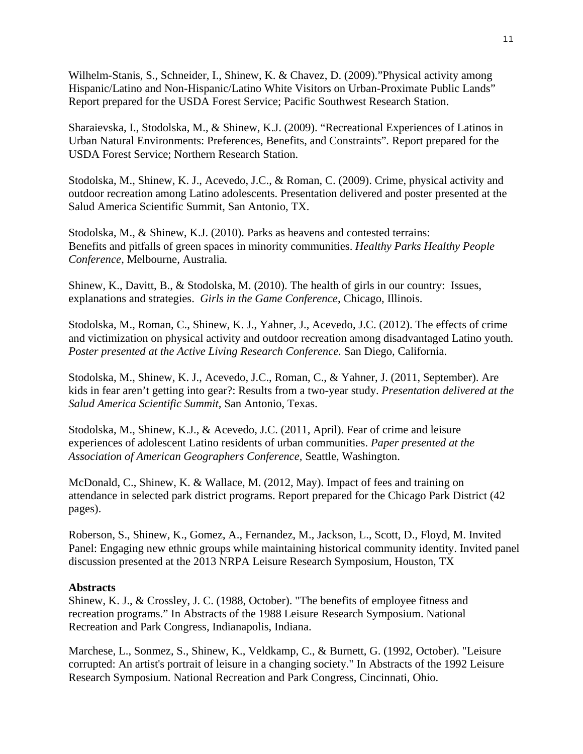Wilhelm-Stanis, S., Schneider, I., Shinew, K. & Chavez, D. (2009)."Physical activity among Hispanic/Latino and Non-Hispanic/Latino White Visitors on Urban-Proximate Public Lands" Report prepared for the USDA Forest Service; Pacific Southwest Research Station.

Sharaievska, I., Stodolska, M., & Shinew, K.J. (2009). "Recreational Experiences of Latinos in Urban Natural Environments: Preferences, Benefits, and Constraints"*.* Report prepared for the USDA Forest Service; Northern Research Station.

Stodolska, M., Shinew, K. J., Acevedo, J.C., & Roman, C. (2009). Crime, physical activity and outdoor recreation among Latino adolescents. Presentation delivered and poster presented at the Salud America Scientific Summit, San Antonio, TX.

Stodolska, M., & Shinew, K.J. (2010). Parks as heavens and contested terrains: Benefits and pitfalls of green spaces in minority communities. *Healthy Parks Healthy People Conference,* Melbourne, Australia*.* 

Shinew, K., Davitt, B., & Stodolska, M. (2010). The health of girls in our country: Issues, explanations and strategies. *Girls in the Game Conference*, Chicago, Illinois.

Stodolska, M., Roman, C., Shinew, K. J., Yahner, J., Acevedo, J.C. (2012). The effects of crime and victimization on physical activity and outdoor recreation among disadvantaged Latino youth. *Poster presented at the Active Living Research Conference.* San Diego, California.

Stodolska, M., Shinew, K. J., Acevedo, J.C., Roman, C., & Yahner, J. (2011, September). Are kids in fear aren't getting into gear?: Results from a two-year study. *Presentation delivered at the Salud America Scientific Summit,* San Antonio, Texas.

Stodolska, M., Shinew, K.J., & Acevedo, J.C. (2011, April). Fear of crime and leisure experiences of adolescent Latino residents of urban communities. *Paper presented at the Association of American Geographers Conference,* Seattle, Washington.

McDonald, C., Shinew, K. & Wallace, M. (2012, May). Impact of fees and training on attendance in selected park district programs. Report prepared for the Chicago Park District (42 pages).

Roberson, S., Shinew, K., Gomez, A., Fernandez, M., Jackson, L., Scott, D., Floyd, M. Invited Panel: Engaging new ethnic groups while maintaining historical community identity. Invited panel discussion presented at the 2013 NRPA Leisure Research Symposium, Houston, TX

# **Abstracts**

Shinew, K. J., & Crossley, J. C. (1988, October). "The benefits of employee fitness and recreation programs." In Abstracts of the 1988 Leisure Research Symposium. National Recreation and Park Congress, Indianapolis, Indiana.

Marchese, L., Sonmez, S., Shinew, K., Veldkamp, C., & Burnett, G. (1992, October). "Leisure corrupted: An artist's portrait of leisure in a changing society." In Abstracts of the 1992 Leisure Research Symposium. National Recreation and Park Congress, Cincinnati, Ohio.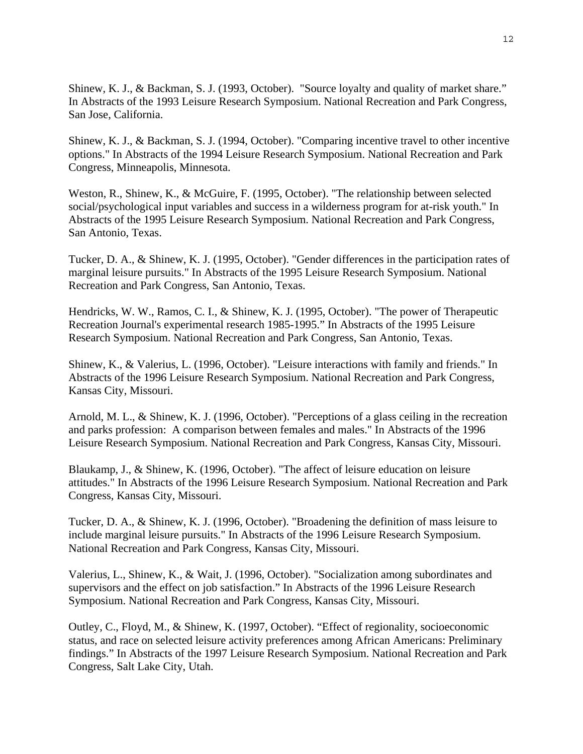Shinew, K. J., & Backman, S. J. (1993, October). "Source loyalty and quality of market share." In Abstracts of the 1993 Leisure Research Symposium. National Recreation and Park Congress, San Jose, California.

Shinew, K. J., & Backman, S. J. (1994, October). "Comparing incentive travel to other incentive options." In Abstracts of the 1994 Leisure Research Symposium. National Recreation and Park Congress, Minneapolis, Minnesota.

Weston, R., Shinew, K., & McGuire, F. (1995, October). "The relationship between selected social/psychological input variables and success in a wilderness program for at-risk youth." In Abstracts of the 1995 Leisure Research Symposium. National Recreation and Park Congress, San Antonio, Texas.

Tucker, D. A., & Shinew, K. J. (1995, October). "Gender differences in the participation rates of marginal leisure pursuits." In Abstracts of the 1995 Leisure Research Symposium. National Recreation and Park Congress, San Antonio, Texas.

Hendricks, W. W., Ramos, C. I., & Shinew, K. J. (1995, October). "The power of Therapeutic Recreation Journal's experimental research 1985-1995." In Abstracts of the 1995 Leisure Research Symposium. National Recreation and Park Congress, San Antonio, Texas.

Shinew, K., & Valerius, L. (1996, October). "Leisure interactions with family and friends." In Abstracts of the 1996 Leisure Research Symposium. National Recreation and Park Congress, Kansas City, Missouri.

Arnold, M. L., & Shinew, K. J. (1996, October). "Perceptions of a glass ceiling in the recreation and parks profession: A comparison between females and males." In Abstracts of the 1996 Leisure Research Symposium. National Recreation and Park Congress, Kansas City, Missouri.

Blaukamp, J., & Shinew, K. (1996, October). "The affect of leisure education on leisure attitudes." In Abstracts of the 1996 Leisure Research Symposium. National Recreation and Park Congress, Kansas City, Missouri.

Tucker, D. A., & Shinew, K. J. (1996, October). "Broadening the definition of mass leisure to include marginal leisure pursuits." In Abstracts of the 1996 Leisure Research Symposium. National Recreation and Park Congress, Kansas City, Missouri.

Valerius, L., Shinew, K., & Wait, J. (1996, October). "Socialization among subordinates and supervisors and the effect on job satisfaction." In Abstracts of the 1996 Leisure Research Symposium. National Recreation and Park Congress, Kansas City, Missouri.

Outley, C., Floyd, M., & Shinew, K. (1997, October). "Effect of regionality, socioeconomic status, and race on selected leisure activity preferences among African Americans: Preliminary findings." In Abstracts of the 1997 Leisure Research Symposium. National Recreation and Park Congress, Salt Lake City, Utah.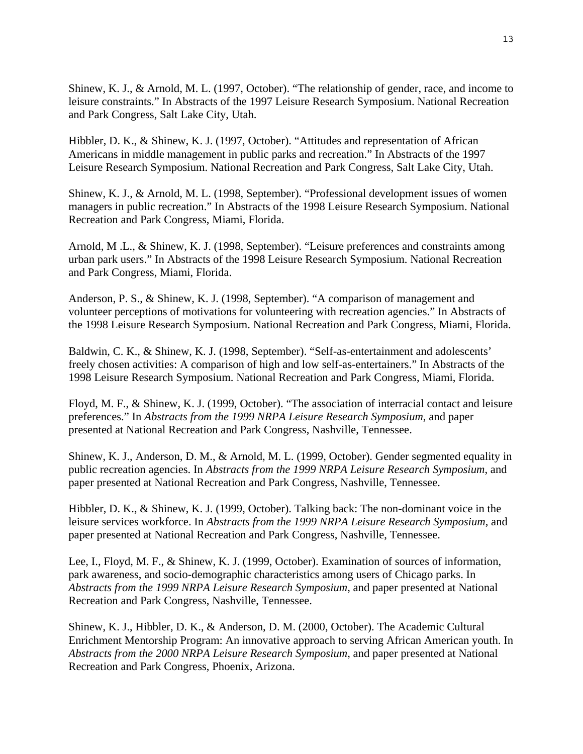Shinew, K. J., & Arnold, M. L. (1997, October). "The relationship of gender, race, and income to leisure constraints." In Abstracts of the 1997 Leisure Research Symposium. National Recreation and Park Congress, Salt Lake City, Utah.

Hibbler, D. K., & Shinew, K. J. (1997, October). "Attitudes and representation of African Americans in middle management in public parks and recreation." In Abstracts of the 1997 Leisure Research Symposium. National Recreation and Park Congress, Salt Lake City, Utah.

Shinew, K. J., & Arnold, M. L. (1998, September). "Professional development issues of women managers in public recreation." In Abstracts of the 1998 Leisure Research Symposium. National Recreation and Park Congress, Miami, Florida.

Arnold, M .L., & Shinew, K. J. (1998, September). "Leisure preferences and constraints among urban park users." In Abstracts of the 1998 Leisure Research Symposium. National Recreation and Park Congress, Miami, Florida.

Anderson, P. S., & Shinew, K. J. (1998, September). "A comparison of management and volunteer perceptions of motivations for volunteering with recreation agencies." In Abstracts of the 1998 Leisure Research Symposium. National Recreation and Park Congress, Miami, Florida.

Baldwin, C. K., & Shinew, K. J. (1998, September). "Self-as-entertainment and adolescents' freely chosen activities: A comparison of high and low self-as-entertainers." In Abstracts of the 1998 Leisure Research Symposium. National Recreation and Park Congress, Miami, Florida.

Floyd, M. F., & Shinew, K. J. (1999, October). "The association of interracial contact and leisure preferences." In *Abstracts from the 1999 NRPA Leisure Research Symposium*, and paper presented at National Recreation and Park Congress, Nashville, Tennessee.

Shinew, K. J., Anderson, D. M., & Arnold, M. L. (1999, October). Gender segmented equality in public recreation agencies. In *Abstracts from the 1999 NRPA Leisure Research Symposium*, and paper presented at National Recreation and Park Congress, Nashville, Tennessee.

Hibbler, D. K., & Shinew, K. J. (1999, October). Talking back: The non-dominant voice in the leisure services workforce. In *Abstracts from the 1999 NRPA Leisure Research Symposium*, and paper presented at National Recreation and Park Congress, Nashville, Tennessee.

Lee, I., Floyd, M. F., & Shinew, K. J. (1999, October). Examination of sources of information, park awareness, and socio-demographic characteristics among users of Chicago parks. In *Abstracts from the 1999 NRPA Leisure Research Symposium*, and paper presented at National Recreation and Park Congress, Nashville, Tennessee.

Shinew, K. J., Hibbler, D. K., & Anderson, D. M. (2000, October). The Academic Cultural Enrichment Mentorship Program: An innovative approach to serving African American youth. In *Abstracts from the 2000 NRPA Leisure Research Symposium*, and paper presented at National Recreation and Park Congress, Phoenix, Arizona.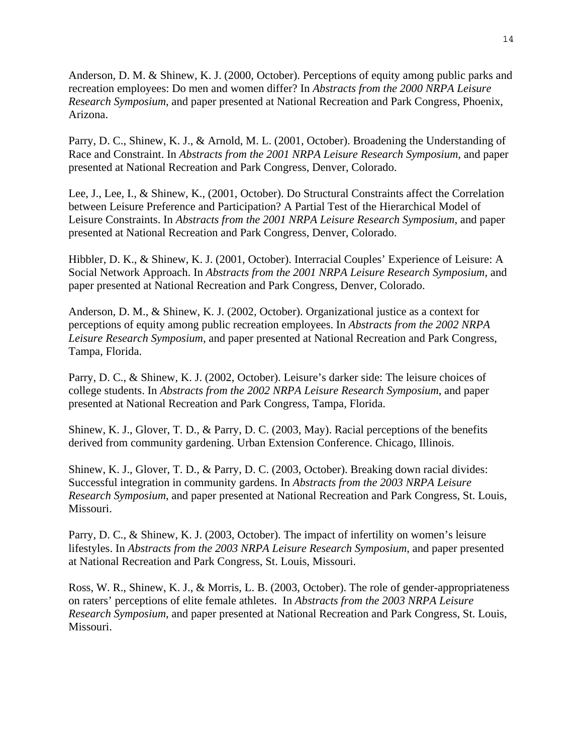Anderson, D. M. & Shinew, K. J. (2000, October). Perceptions of equity among public parks and recreation employees: Do men and women differ? In *Abstracts from the 2000 NRPA Leisure Research Symposium*, and paper presented at National Recreation and Park Congress, Phoenix, Arizona.

Parry, D. C., Shinew, K. J., & Arnold, M. L. (2001, October). Broadening the Understanding of Race and Constraint. In *Abstracts from the 2001 NRPA Leisure Research Symposium*, and paper presented at National Recreation and Park Congress, Denver, Colorado.

Lee, J., Lee, I., & Shinew, K., (2001, October). Do Structural Constraints affect the Correlation between Leisure Preference and Participation? A Partial Test of the Hierarchical Model of Leisure Constraints. In *Abstracts from the 2001 NRPA Leisure Research Symposium*, and paper presented at National Recreation and Park Congress, Denver, Colorado.

Hibbler, D. K., & Shinew, K. J. (2001, October). Interracial Couples' Experience of Leisure: A Social Network Approach. In *Abstracts from the 2001 NRPA Leisure Research Symposium*, and paper presented at National Recreation and Park Congress, Denver, Colorado.

Anderson, D. M., & Shinew, K. J. (2002, October). Organizational justice as a context for perceptions of equity among public recreation employees. In *Abstracts from the 2002 NRPA Leisure Research Symposium*, and paper presented at National Recreation and Park Congress, Tampa, Florida.

Parry, D. C., & Shinew, K. J. (2002, October). Leisure's darker side: The leisure choices of college students. In *Abstracts from the 2002 NRPA Leisure Research Symposium*, and paper presented at National Recreation and Park Congress, Tampa, Florida.

Shinew, K. J., Glover, T. D., & Parry, D. C. (2003, May). Racial perceptions of the benefits derived from community gardening. Urban Extension Conference. Chicago, Illinois.

Shinew, K. J., Glover, T. D., & Parry, D. C. (2003, October). Breaking down racial divides: Successful integration in community gardens. In *Abstracts from the 2003 NRPA Leisure Research Symposium*, and paper presented at National Recreation and Park Congress, St. Louis, Missouri.

Parry, D. C., & Shinew, K. J. (2003, October). The impact of infertility on women's leisure lifestyles. In *Abstracts from the 2003 NRPA Leisure Research Symposium*, and paper presented at National Recreation and Park Congress, St. Louis, Missouri.

Ross, W. R., Shinew, K. J., & Morris, L. B. (2003, October). The role of gender-appropriateness on raters' perceptions of elite female athletes. In *Abstracts from the 2003 NRPA Leisure Research Symposium*, and paper presented at National Recreation and Park Congress, St. Louis, Missouri.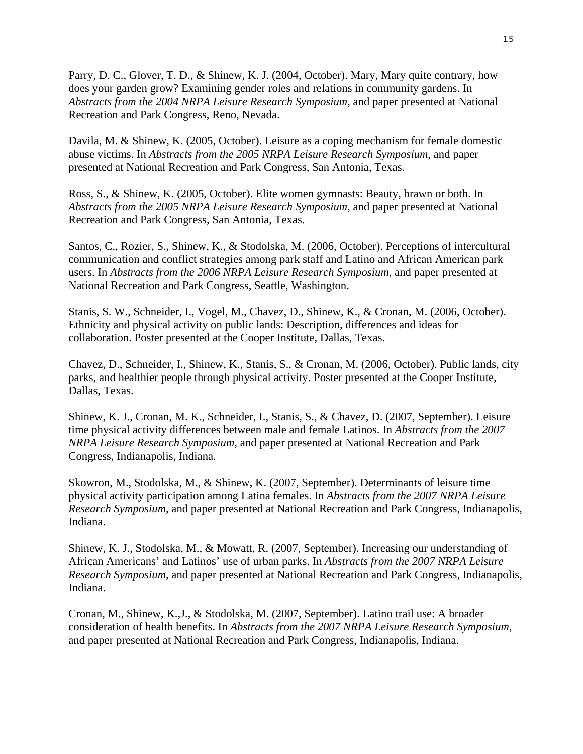Parry, D. C., Glover, T. D., & Shinew, K. J. (2004, October). Mary, Mary quite contrary, how does your garden grow? Examining gender roles and relations in community gardens. In *Abstracts from the 2004 NRPA Leisure Research Symposium*, and paper presented at National Recreation and Park Congress, Reno, Nevada.

Davila, M. & Shinew, K. (2005, October). Leisure as a coping mechanism for female domestic abuse victims. In *Abstracts from the 2005 NRPA Leisure Research Symposium*, and paper presented at National Recreation and Park Congress, San Antonia, Texas.

Ross, S., & Shinew, K. (2005, October). Elite women gymnasts: Beauty, brawn or both. In *Abstracts from the 2005 NRPA Leisure Research Symposium*, and paper presented at National Recreation and Park Congress, San Antonia, Texas.

Santos, C., Rozier, S., Shinew, K., & Stodolska, M. (2006, October). Perceptions of intercultural communication and conflict strategies among park staff and Latino and African American park users. In *Abstracts from the 2006 NRPA Leisure Research Symposium*, and paper presented at National Recreation and Park Congress, Seattle, Washington.

Stanis, S. W., Schneider, I., Vogel, M., Chavez, D., Shinew, K., & Cronan, M. (2006, October). Ethnicity and physical activity on public lands: Description, differences and ideas for collaboration. Poster presented at the Cooper Institute, Dallas, Texas.

Chavez, D., Schneider, I., Shinew, K., Stanis, S., & Cronan, M. (2006, October). Public lands, city parks, and healthier people through physical activity. Poster presented at the Cooper Institute, Dallas, Texas.

Shinew, K. J., Cronan, M. K., Schneider, I., Stanis, S., & Chavez, D. (2007, September). Leisure time physical activity differences between male and female Latinos. In *Abstracts from the 2007 NRPA Leisure Research Symposium*, and paper presented at National Recreation and Park Congress, Indianapolis, Indiana.

Skowron, M., Stodolska, M., & Shinew, K. (2007, September). Determinants of leisure time physical activity participation among Latina females. In *Abstracts from the 2007 NRPA Leisure Research Symposium*, and paper presented at National Recreation and Park Congress, Indianapolis, Indiana.

Shinew, K. J., Stodolska, M., & Mowatt, R. (2007, September). Increasing our understanding of African Americans' and Latinos' use of urban parks. In *Abstracts from the 2007 NRPA Leisure Research Symposium*, and paper presented at National Recreation and Park Congress, Indianapolis, Indiana.

Cronan, M., Shinew, K.,J., & Stodolska, M. (2007, September). Latino trail use: A broader consideration of health benefits. In *Abstracts from the 2007 NRPA Leisure Research Symposium*, and paper presented at National Recreation and Park Congress, Indianapolis, Indiana.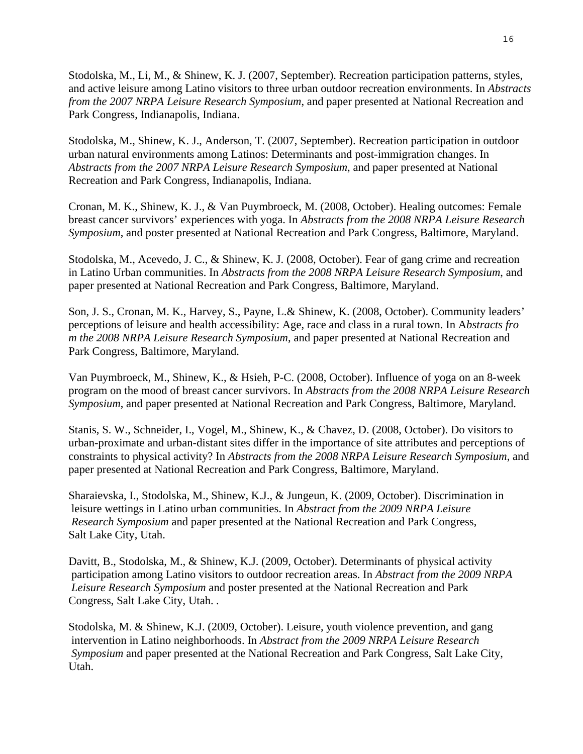Stodolska, M., Li, M., & Shinew, K. J. (2007, September). Recreation participation patterns, styles, and active leisure among Latino visitors to three urban outdoor recreation environments. In *Abstracts from the 2007 NRPA Leisure Research Symposium*, and paper presented at National Recreation and Park Congress, Indianapolis, Indiana.

Stodolska, M., Shinew, K. J., Anderson, T. (2007, September). Recreation participation in outdoor urban natural environments among Latinos: Determinants and post-immigration changes. In *Abstracts from the 2007 NRPA Leisure Research Symposium*, and paper presented at National Recreation and Park Congress, Indianapolis, Indiana.

Cronan, M. K., Shinew, K. J., & Van Puymbroeck, M. (2008, October). Healing outcomes: Female breast cancer survivors' experiences with yoga. In *Abstracts from the 2008 NRPA Leisure Research Symposium*, and poster presented at National Recreation and Park Congress, Baltimore, Maryland.

Stodolska, M., Acevedo, J. C., & Shinew, K. J. (2008, October). Fear of gang crime and recreation in Latino Urban communities. In *Abstracts from the 2008 NRPA Leisure Research Symposium*, and paper presented at National Recreation and Park Congress, Baltimore, Maryland.

Son, J. S., Cronan, M. K., Harvey, S., Payne, L.& Shinew, K. (2008, October). Community leaders' perceptions of leisure and health accessibility: Age, race and class in a rural town. In A*bstracts fro m the 2008 NRPA Leisure Research Symposium*, and paper presented at National Recreation and Park Congress, Baltimore, Maryland.

Van Puymbroeck, M., Shinew, K., & Hsieh, P-C. (2008, October). Influence of yoga on an 8-week program on the mood of breast cancer survivors. In *Abstracts from the 2008 NRPA Leisure Research Symposium*, and paper presented at National Recreation and Park Congress, Baltimore, Maryland.

Stanis, S. W., Schneider, I., Vogel, M., Shinew, K., & Chavez, D. (2008, October). Do visitors to urban-proximate and urban-distant sites differ in the importance of site attributes and perceptions of constraints to physical activity? In *Abstracts from the 2008 NRPA Leisure Research Symposium*, and paper presented at National Recreation and Park Congress, Baltimore, Maryland.

Sharaievska, I., Stodolska, M., Shinew, K.J., & Jungeun, K. (2009, October). Discrimination in leisure wettings in Latino urban communities. In *Abstract from the 2009 NRPA Leisure Research Symposium* and paper presented at the National Recreation and Park Congress, Salt Lake City, Utah.

Davitt, B., Stodolska, M., & Shinew, K.J. (2009, October). Determinants of physical activity participation among Latino visitors to outdoor recreation areas. In *Abstract from the 2009 NRPA Leisure Research Symposium* and poster presented at the National Recreation and Park Congress, Salt Lake City, Utah. *.* 

Stodolska, M. & Shinew, K.J. (2009, October). Leisure, youth violence prevention, and gang intervention in Latino neighborhoods. In *Abstract from the 2009 NRPA Leisure Research Symposium* and paper presented at the National Recreation and Park Congress, Salt Lake City, Utah.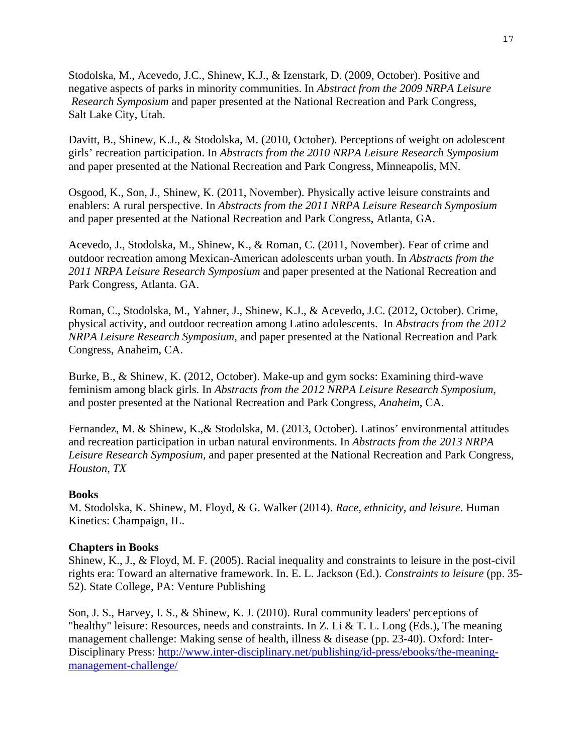Stodolska, M., Acevedo, J.C., Shinew, K.J., & Izenstark, D. (2009, October). Positive and negative aspects of parks in minority communities. In *Abstract from the 2009 NRPA Leisure Research Symposium* and paper presented at the National Recreation and Park Congress, Salt Lake City, Utah.

Davitt, B., Shinew, K.J., & Stodolska, M. (2010, October). Perceptions of weight on adolescent girls' recreation participation. In *Abstracts from the 2010 NRPA Leisure Research Symposium* and paper presented at the National Recreation and Park Congress, Minneapolis, MN.

Osgood, K., Son, J., Shinew, K. (2011, November). Physically active leisure constraints and enablers: A rural perspective. In *Abstracts from the 2011 NRPA Leisure Research Symposium* and paper presented at the National Recreation and Park Congress, Atlanta, GA.

Acevedo, J., Stodolska, M., Shinew, K., & Roman, C. (2011, November). Fear of crime and outdoor recreation among Mexican-American adolescents urban youth. In *Abstracts from the 2011 NRPA Leisure Research Symposium* and paper presented at the National Recreation and Park Congress, Atlanta. GA.

Roman, C., Stodolska, M., Yahner, J., Shinew, K.J., & Acevedo, J.C. (2012, October). Crime, physical activity, and outdoor recreation among Latino adolescents. In *Abstracts from the 2012 NRPA Leisure Research Symposium,* and paper presented at the National Recreation and Park Congress, Anaheim, CA.

Burke, B., & Shinew, K. (2012, October). Make-up and gym socks: Examining third-wave feminism among black girls. In *Abstracts from the 2012 NRPA Leisure Research Symposium,* and poster presented at the National Recreation and Park Congress, *Anaheim*, CA.

Fernandez, M. & Shinew, K.,& Stodolska, M. (2013, October). Latinos' environmental attitudes and recreation participation in urban natural environments. In *Abstracts from the 2013 NRPA Leisure Research Symposium,* and paper presented at the National Recreation and Park Congress, *Houston, TX*

# **Books**

M. Stodolska, K. Shinew, M. Floyd, & G. Walker (2014). *Race, ethnicity, and leisure*. Human Kinetics: Champaign, IL.

# **Chapters in Books**

Shinew, K., J., & Floyd, M. F. (2005). Racial inequality and constraints to leisure in the post-civil rights era: Toward an alternative framework. In. E. L. Jackson (Ed.). *Constraints to leisure* (pp. 35- 52). State College, PA: Venture Publishing

Son, J. S., Harvey, I. S., & Shinew, K. J. (2010). Rural community leaders' perceptions of "healthy" leisure: Resources, needs and constraints. In Z. Li & T. L. Long (Eds.), The meaning management challenge: Making sense of health, illness & disease (pp. 23-40). Oxford: Inter-Disciplinary Press: http://www.inter-disciplinary.net/publishing/id-press/ebooks/the-meaningmanagement-challenge/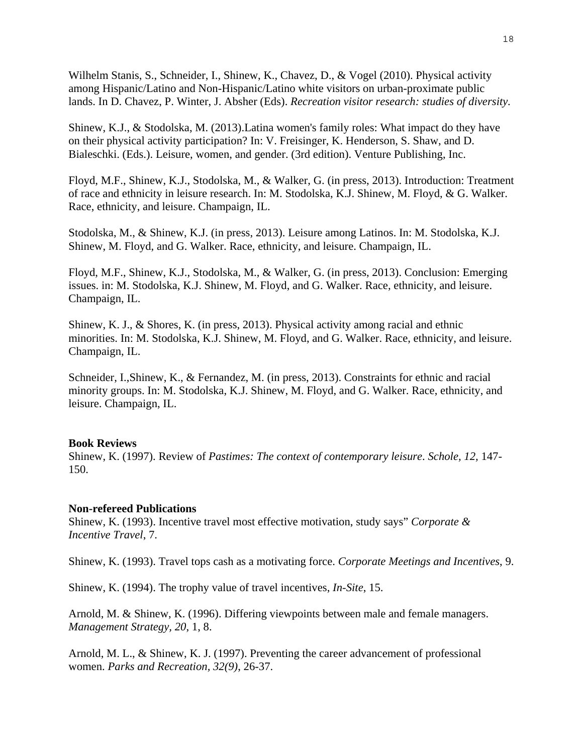Wilhelm Stanis, S., Schneider, I., Shinew, K., Chavez, D., & Vogel (2010). Physical activity among Hispanic/Latino and Non-Hispanic/Latino white visitors on urban-proximate public lands. In D. Chavez, P. Winter, J. Absher (Eds). *Recreation visitor research: studies of diversity.* 

Shinew, K.J., & Stodolska, M. (2013).Latina women's family roles: What impact do they have on their physical activity participation? In: V. Freisinger, K. Henderson, S. Shaw, and D. Bialeschki. (Eds.). Leisure, women, and gender. (3rd edition). Venture Publishing, Inc.

Floyd, M.F., Shinew, K.J., Stodolska, M., & Walker, G. (in press, 2013). Introduction: Treatment of race and ethnicity in leisure research. In: M. Stodolska, K.J. Shinew, M. Floyd, & G. Walker. Race, ethnicity, and leisure. Champaign, IL.

Stodolska, M., & Shinew, K.J. (in press, 2013). Leisure among Latinos. In: M. Stodolska, K.J. Shinew, M. Floyd, and G. Walker. Race, ethnicity, and leisure. Champaign, IL.

Floyd, M.F., Shinew, K.J., Stodolska, M., & Walker, G. (in press, 2013). Conclusion: Emerging issues. in: M. Stodolska, K.J. Shinew, M. Floyd, and G. Walker. Race, ethnicity, and leisure. Champaign, IL.

Shinew, K. J., & Shores, K. (in press, 2013). Physical activity among racial and ethnic minorities. In: M. Stodolska, K.J. Shinew, M. Floyd, and G. Walker. Race, ethnicity, and leisure. Champaign, IL.

Schneider, I.,Shinew, K., & Fernandez, M. (in press, 2013). Constraints for ethnic and racial minority groups. In: M. Stodolska, K.J. Shinew, M. Floyd, and G. Walker. Race, ethnicity, and leisure. Champaign, IL.

#### **Book Reviews**

Shinew, K. (1997). Review of *Pastimes: The context of contemporary leisure*. *Schole, 12,* 147- 150.

#### **Non-refereed Publications**

Shinew, K. (1993). Incentive travel most effective motivation, study says" *Corporate & Incentive Travel*, 7.

Shinew, K. (1993). Travel tops cash as a motivating force. *Corporate Meetings and Incentives*, 9.

Shinew, K. (1994). The trophy value of travel incentives, *In-Site*, 15.

Arnold, M. & Shinew, K. (1996). Differing viewpoints between male and female managers. *Management Strategy, 20*, 1, 8.

Arnold, M. L., & Shinew, K. J. (1997). Preventing the career advancement of professional women. *Parks and Recreation, 32(9)*, 26-37.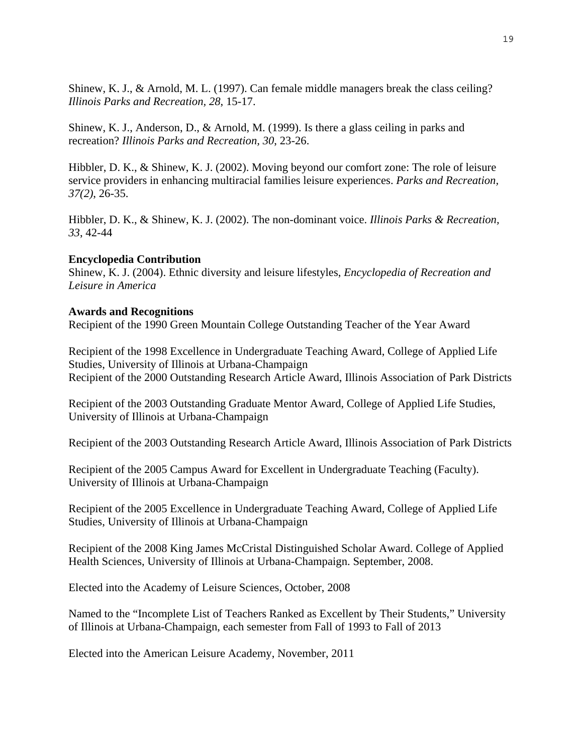Shinew, K. J., & Arnold, M. L. (1997). Can female middle managers break the class ceiling? *Illinois Parks and Recreation, 28*, 15-17.

Shinew, K. J., Anderson, D., & Arnold, M. (1999). Is there a glass ceiling in parks and recreation? *Illinois Parks and Recreation, 30*, 23-26.

Hibbler, D. K., & Shinew, K. J. (2002). Moving beyond our comfort zone: The role of leisure service providers in enhancing multiracial families leisure experiences. *Parks and Recreation, 37(2)*, 26-35.

Hibbler, D. K., & Shinew, K. J. (2002). The non-dominant voice. *Illinois Parks & Recreation, 33*, 42-44

## **Encyclopedia Contribution**

Shinew, K. J. (2004). Ethnic diversity and leisure lifestyles, *Encyclopedia of Recreation and Leisure in America* 

#### **Awards and Recognitions**

Recipient of the 1990 Green Mountain College Outstanding Teacher of the Year Award

Recipient of the 1998 Excellence in Undergraduate Teaching Award, College of Applied Life Studies, University of Illinois at Urbana-Champaign Recipient of the 2000 Outstanding Research Article Award, Illinois Association of Park Districts

Recipient of the 2003 Outstanding Graduate Mentor Award, College of Applied Life Studies, University of Illinois at Urbana-Champaign

Recipient of the 2003 Outstanding Research Article Award, Illinois Association of Park Districts

Recipient of the 2005 Campus Award for Excellent in Undergraduate Teaching (Faculty). University of Illinois at Urbana-Champaign

Recipient of the 2005 Excellence in Undergraduate Teaching Award, College of Applied Life Studies, University of Illinois at Urbana-Champaign

Recipient of the 2008 King James McCristal Distinguished Scholar Award. College of Applied Health Sciences, University of Illinois at Urbana-Champaign. September, 2008.

Elected into the Academy of Leisure Sciences, October, 2008

Named to the "Incomplete List of Teachers Ranked as Excellent by Their Students," University of Illinois at Urbana-Champaign, each semester from Fall of 1993 to Fall of 2013

Elected into the American Leisure Academy, November, 2011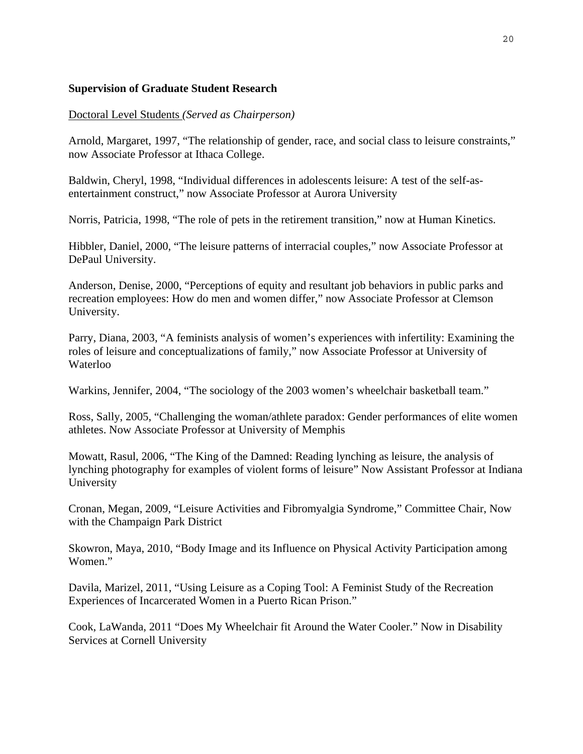# **Supervision of Graduate Student Research**

# Doctoral Level Students *(Served as Chairperson)*

Arnold, Margaret, 1997, "The relationship of gender, race, and social class to leisure constraints," now Associate Professor at Ithaca College.

Baldwin, Cheryl, 1998, "Individual differences in adolescents leisure: A test of the self-asentertainment construct," now Associate Professor at Aurora University

Norris, Patricia, 1998, "The role of pets in the retirement transition," now at Human Kinetics.

Hibbler, Daniel, 2000, "The leisure patterns of interracial couples," now Associate Professor at DePaul University.

Anderson, Denise, 2000, "Perceptions of equity and resultant job behaviors in public parks and recreation employees: How do men and women differ," now Associate Professor at Clemson University.

Parry, Diana, 2003, "A feminists analysis of women's experiences with infertility: Examining the roles of leisure and conceptualizations of family," now Associate Professor at University of Waterloo

Warkins, Jennifer, 2004, "The sociology of the 2003 women's wheelchair basketball team."

Ross, Sally, 2005, "Challenging the woman/athlete paradox: Gender performances of elite women athletes. Now Associate Professor at University of Memphis

Mowatt, Rasul, 2006, "The King of the Damned: Reading lynching as leisure, the analysis of lynching photography for examples of violent forms of leisure" Now Assistant Professor at Indiana University

Cronan, Megan, 2009, "Leisure Activities and Fibromyalgia Syndrome," Committee Chair, Now with the Champaign Park District

Skowron, Maya, 2010, "Body Image and its Influence on Physical Activity Participation among Women."

Davila, Marizel, 2011, "Using Leisure as a Coping Tool: A Feminist Study of the Recreation Experiences of Incarcerated Women in a Puerto Rican Prison."

Cook, LaWanda, 2011 "Does My Wheelchair fit Around the Water Cooler." Now in Disability Services at Cornell University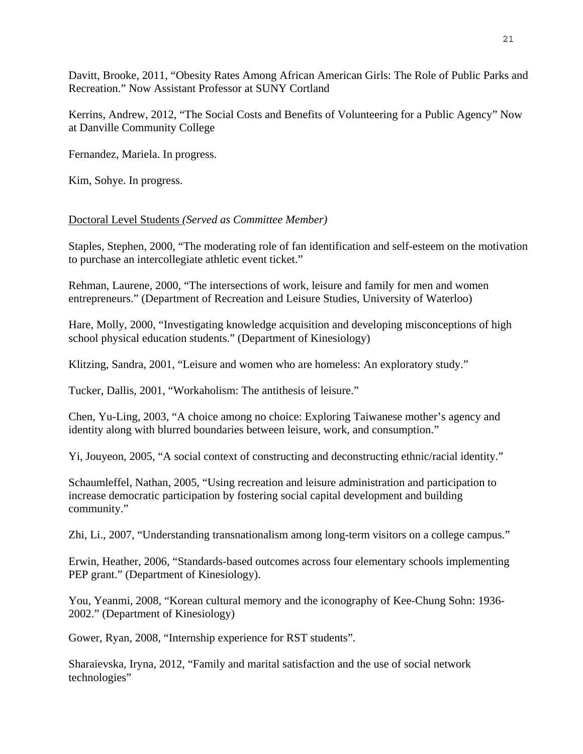Davitt, Brooke, 2011, "Obesity Rates Among African American Girls: The Role of Public Parks and Recreation." Now Assistant Professor at SUNY Cortland

Kerrins, Andrew, 2012, "The Social Costs and Benefits of Volunteering for a Public Agency" Now at Danville Community College

Fernandez, Mariela. In progress.

Kim, Sohye. In progress.

## Doctoral Level Students *(Served as Committee Member)*

Staples, Stephen, 2000, "The moderating role of fan identification and self-esteem on the motivation to purchase an intercollegiate athletic event ticket."

Rehman, Laurene, 2000, "The intersections of work, leisure and family for men and women entrepreneurs." (Department of Recreation and Leisure Studies, University of Waterloo)

Hare, Molly, 2000, "Investigating knowledge acquisition and developing misconceptions of high school physical education students." (Department of Kinesiology)

Klitzing, Sandra, 2001, "Leisure and women who are homeless: An exploratory study."

Tucker, Dallis, 2001, "Workaholism: The antithesis of leisure."

Chen, Yu-Ling, 2003, "A choice among no choice: Exploring Taiwanese mother's agency and identity along with blurred boundaries between leisure, work, and consumption."

Yi, Jouyeon, 2005, "A social context of constructing and deconstructing ethnic/racial identity."

Schaumleffel, Nathan, 2005, "Using recreation and leisure administration and participation to increase democratic participation by fostering social capital development and building community."

Zhi, Li., 2007, "Understanding transnationalism among long-term visitors on a college campus."

Erwin, Heather, 2006, "Standards-based outcomes across four elementary schools implementing PEP grant." (Department of Kinesiology).

You, Yeanmi, 2008, "Korean cultural memory and the iconography of Kee-Chung Sohn: 1936- 2002." (Department of Kinesiology)

Gower, Ryan, 2008, "Internship experience for RST students".

Sharaievska, Iryna, 2012, "Family and marital satisfaction and the use of social network technologies"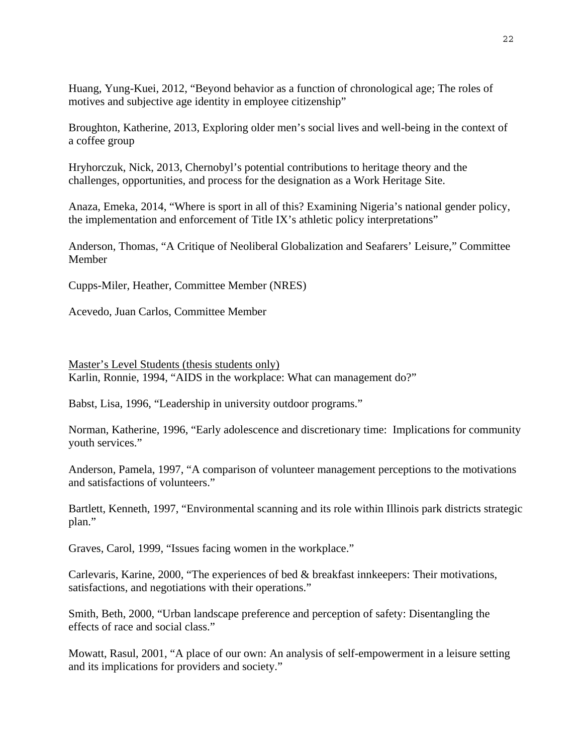Huang, Yung-Kuei, 2012, "Beyond behavior as a function of chronological age; The roles of motives and subjective age identity in employee citizenship"

Broughton, Katherine, 2013, Exploring older men's social lives and well-being in the context of a coffee group

Hryhorczuk, Nick, 2013, Chernobyl's potential contributions to heritage theory and the challenges, opportunities, and process for the designation as a Work Heritage Site.

Anaza, Emeka, 2014, "Where is sport in all of this? Examining Nigeria's national gender policy, the implementation and enforcement of Title IX's athletic policy interpretations"

Anderson, Thomas, "A Critique of Neoliberal Globalization and Seafarers' Leisure," Committee Member

Cupps-Miler, Heather, Committee Member (NRES)

Acevedo, Juan Carlos, Committee Member

Master's Level Students (thesis students only) Karlin, Ronnie, 1994, "AIDS in the workplace: What can management do?"

Babst, Lisa, 1996, "Leadership in university outdoor programs."

Norman, Katherine, 1996, "Early adolescence and discretionary time: Implications for community youth services."

Anderson, Pamela, 1997, "A comparison of volunteer management perceptions to the motivations and satisfactions of volunteers."

Bartlett, Kenneth, 1997, "Environmental scanning and its role within Illinois park districts strategic plan."

Graves, Carol, 1999, "Issues facing women in the workplace."

Carlevaris, Karine, 2000, "The experiences of bed & breakfast innkeepers: Their motivations, satisfactions, and negotiations with their operations."

Smith, Beth, 2000, "Urban landscape preference and perception of safety: Disentangling the effects of race and social class."

Mowatt, Rasul, 2001, "A place of our own: An analysis of self-empowerment in a leisure setting and its implications for providers and society."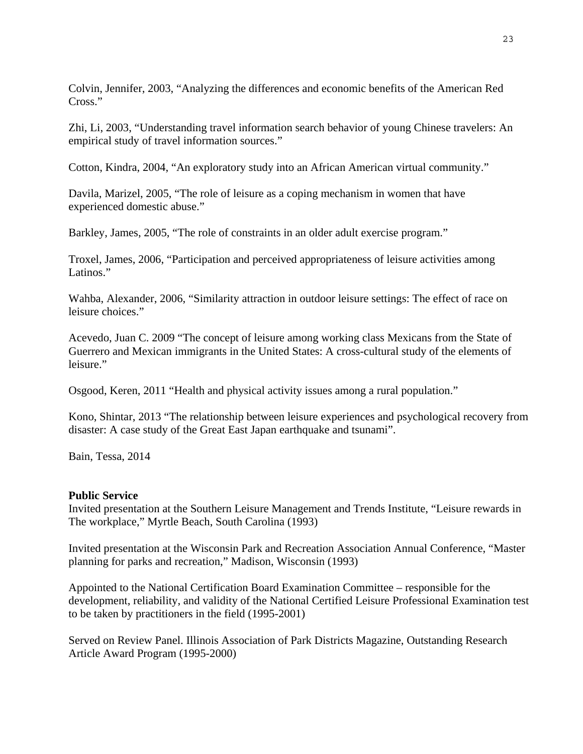Colvin, Jennifer, 2003, "Analyzing the differences and economic benefits of the American Red Cross."

Zhi, Li, 2003, "Understanding travel information search behavior of young Chinese travelers: An empirical study of travel information sources."

Cotton, Kindra, 2004, "An exploratory study into an African American virtual community."

Davila, Marizel, 2005, "The role of leisure as a coping mechanism in women that have experienced domestic abuse."

Barkley, James, 2005, "The role of constraints in an older adult exercise program."

Troxel, James, 2006, "Participation and perceived appropriateness of leisure activities among Latinos."

Wahba, Alexander, 2006, "Similarity attraction in outdoor leisure settings: The effect of race on leisure choices."

Acevedo, Juan C. 2009 "The concept of leisure among working class Mexicans from the State of Guerrero and Mexican immigrants in the United States: A cross-cultural study of the elements of leisure."

Osgood, Keren, 2011 "Health and physical activity issues among a rural population."

Kono, Shintar, 2013 "The relationship between leisure experiences and psychological recovery from disaster: A case study of the Great East Japan earthquake and tsunami".

Bain, Tessa, 2014

# **Public Service**

Invited presentation at the Southern Leisure Management and Trends Institute, "Leisure rewards in The workplace," Myrtle Beach, South Carolina (1993)

Invited presentation at the Wisconsin Park and Recreation Association Annual Conference, "Master planning for parks and recreation," Madison, Wisconsin (1993)

Appointed to the National Certification Board Examination Committee – responsible for the development, reliability, and validity of the National Certified Leisure Professional Examination test to be taken by practitioners in the field (1995-2001)

Served on Review Panel. Illinois Association of Park Districts Magazine, Outstanding Research Article Award Program (1995-2000)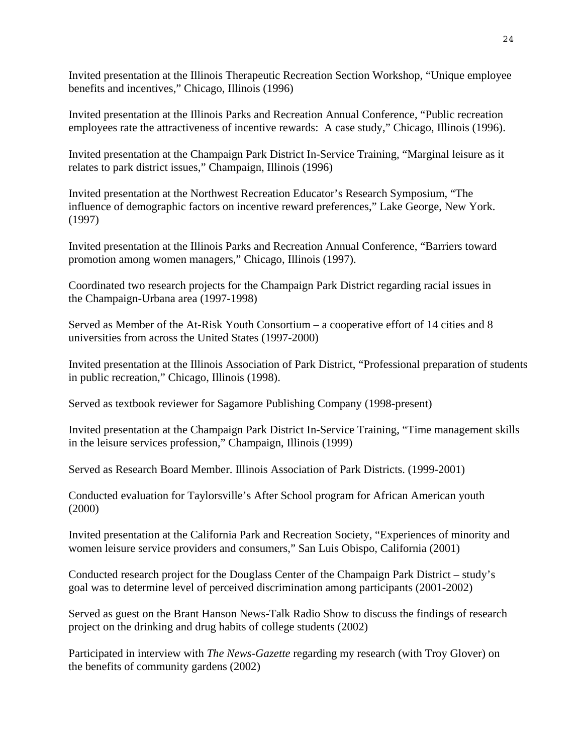Invited presentation at the Illinois Therapeutic Recreation Section Workshop, "Unique employee benefits and incentives," Chicago, Illinois (1996)

Invited presentation at the Illinois Parks and Recreation Annual Conference, "Public recreation employees rate the attractiveness of incentive rewards: A case study," Chicago, Illinois (1996).

Invited presentation at the Champaign Park District In-Service Training, "Marginal leisure as it relates to park district issues," Champaign, Illinois (1996)

Invited presentation at the Northwest Recreation Educator's Research Symposium, "The influence of demographic factors on incentive reward preferences," Lake George, New York. (1997)

Invited presentation at the Illinois Parks and Recreation Annual Conference, "Barriers toward promotion among women managers," Chicago, Illinois (1997).

Coordinated two research projects for the Champaign Park District regarding racial issues in the Champaign-Urbana area (1997-1998)

Served as Member of the At-Risk Youth Consortium – a cooperative effort of 14 cities and 8 universities from across the United States (1997-2000)

Invited presentation at the Illinois Association of Park District, "Professional preparation of students in public recreation," Chicago, Illinois (1998).

Served as textbook reviewer for Sagamore Publishing Company (1998-present)

Invited presentation at the Champaign Park District In-Service Training, "Time management skills in the leisure services profession," Champaign, Illinois (1999)

Served as Research Board Member. Illinois Association of Park Districts. (1999-2001)

Conducted evaluation for Taylorsville's After School program for African American youth (2000)

Invited presentation at the California Park and Recreation Society, "Experiences of minority and women leisure service providers and consumers," San Luis Obispo, California (2001)

Conducted research project for the Douglass Center of the Champaign Park District – study's goal was to determine level of perceived discrimination among participants (2001-2002)

Served as guest on the Brant Hanson News-Talk Radio Show to discuss the findings of research project on the drinking and drug habits of college students (2002)

Participated in interview with *The News-Gazette* regarding my research (with Troy Glover) on the benefits of community gardens (2002)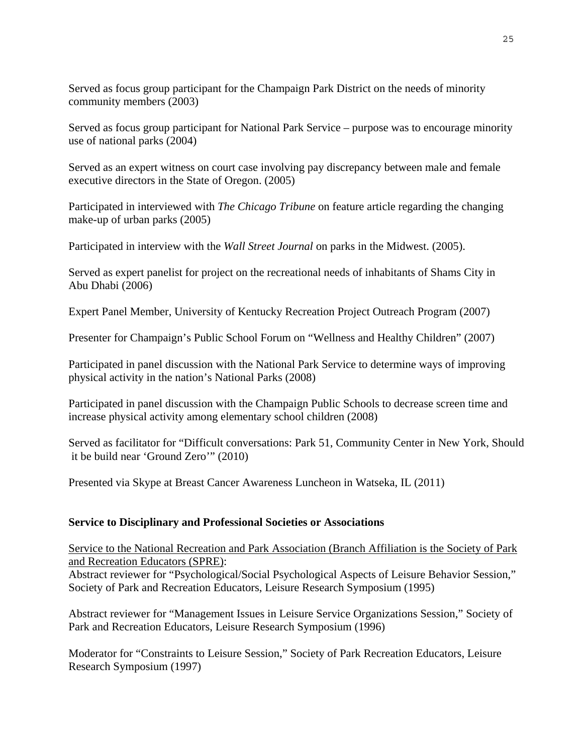Served as focus group participant for the Champaign Park District on the needs of minority community members (2003)

Served as focus group participant for National Park Service – purpose was to encourage minority use of national parks (2004)

Served as an expert witness on court case involving pay discrepancy between male and female executive directors in the State of Oregon. (2005)

Participated in interviewed with *The Chicago Tribune* on feature article regarding the changing make-up of urban parks (2005)

Participated in interview with the *Wall Street Journal* on parks in the Midwest. (2005).

Served as expert panelist for project on the recreational needs of inhabitants of Shams City in Abu Dhabi (2006)

Expert Panel Member, University of Kentucky Recreation Project Outreach Program (2007)

Presenter for Champaign's Public School Forum on "Wellness and Healthy Children" (2007)

Participated in panel discussion with the National Park Service to determine ways of improving physical activity in the nation's National Parks (2008)

Participated in panel discussion with the Champaign Public Schools to decrease screen time and increase physical activity among elementary school children (2008)

Served as facilitator for "Difficult conversations: Park 51, Community Center in New York, Should it be build near 'Ground Zero'" (2010)

Presented via Skype at Breast Cancer Awareness Luncheon in Watseka, IL (2011)

# **Service to Disciplinary and Professional Societies or Associations**

Service to the National Recreation and Park Association (Branch Affiliation is the Society of Park and Recreation Educators (SPRE):

Abstract reviewer for "Psychological/Social Psychological Aspects of Leisure Behavior Session," Society of Park and Recreation Educators, Leisure Research Symposium (1995)

Abstract reviewer for "Management Issues in Leisure Service Organizations Session," Society of Park and Recreation Educators, Leisure Research Symposium (1996)

Moderator for "Constraints to Leisure Session," Society of Park Recreation Educators, Leisure Research Symposium (1997)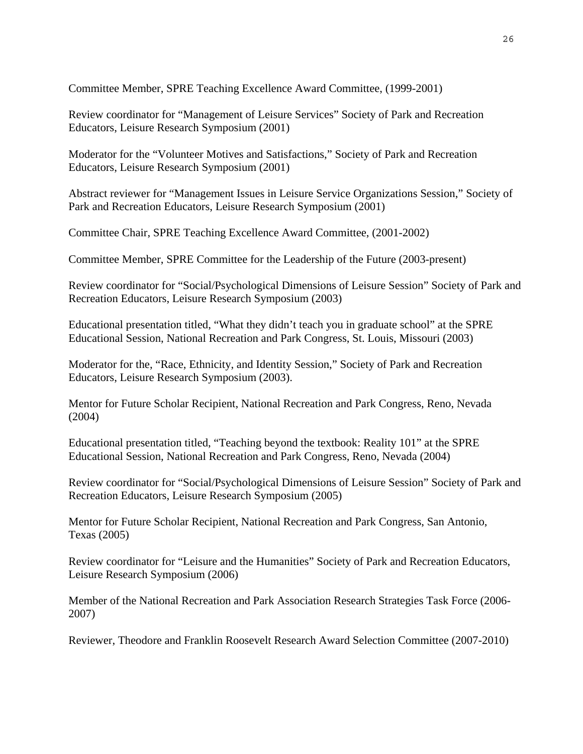Committee Member, SPRE Teaching Excellence Award Committee, (1999-2001)

Review coordinator for "Management of Leisure Services" Society of Park and Recreation Educators, Leisure Research Symposium (2001)

Moderator for the "Volunteer Motives and Satisfactions," Society of Park and Recreation Educators, Leisure Research Symposium (2001)

Abstract reviewer for "Management Issues in Leisure Service Organizations Session," Society of Park and Recreation Educators, Leisure Research Symposium (2001)

Committee Chair, SPRE Teaching Excellence Award Committee, (2001-2002)

Committee Member, SPRE Committee for the Leadership of the Future (2003-present)

Review coordinator for "Social/Psychological Dimensions of Leisure Session" Society of Park and Recreation Educators, Leisure Research Symposium (2003)

Educational presentation titled, "What they didn't teach you in graduate school" at the SPRE Educational Session, National Recreation and Park Congress, St. Louis, Missouri (2003)

Moderator for the, "Race, Ethnicity, and Identity Session," Society of Park and Recreation Educators, Leisure Research Symposium (2003).

Mentor for Future Scholar Recipient, National Recreation and Park Congress, Reno, Nevada (2004)

Educational presentation titled, "Teaching beyond the textbook: Reality 101" at the SPRE Educational Session, National Recreation and Park Congress, Reno, Nevada (2004)

Review coordinator for "Social/Psychological Dimensions of Leisure Session" Society of Park and Recreation Educators, Leisure Research Symposium (2005)

Mentor for Future Scholar Recipient, National Recreation and Park Congress, San Antonio, Texas (2005)

Review coordinator for "Leisure and the Humanities" Society of Park and Recreation Educators, Leisure Research Symposium (2006)

Member of the National Recreation and Park Association Research Strategies Task Force (2006- 2007)

Reviewer, Theodore and Franklin Roosevelt Research Award Selection Committee (2007-2010)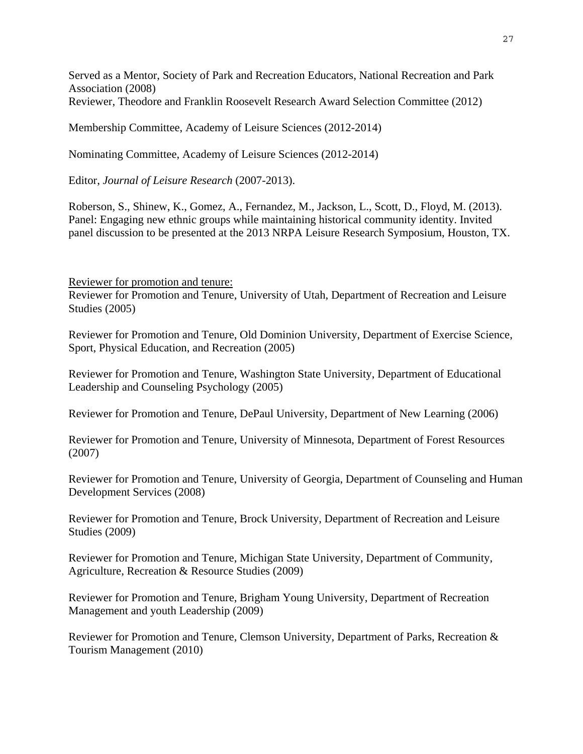Served as a Mentor, Society of Park and Recreation Educators, National Recreation and Park Association (2008) Reviewer, Theodore and Franklin Roosevelt Research Award Selection Committee (2012)

Membership Committee, Academy of Leisure Sciences (2012-2014)

Nominating Committee, Academy of Leisure Sciences (2012-2014)

Editor, *Journal of Leisure Research* (2007-2013).

Roberson, S., Shinew, K., Gomez, A., Fernandez, M., Jackson, L., Scott, D., Floyd, M. (2013). Panel: Engaging new ethnic groups while maintaining historical community identity. Invited panel discussion to be presented at the 2013 NRPA Leisure Research Symposium, Houston, TX.

Reviewer for promotion and tenure:

Reviewer for Promotion and Tenure, University of Utah, Department of Recreation and Leisure Studies (2005)

Reviewer for Promotion and Tenure, Old Dominion University, Department of Exercise Science, Sport, Physical Education, and Recreation (2005)

Reviewer for Promotion and Tenure, Washington State University, Department of Educational Leadership and Counseling Psychology (2005)

Reviewer for Promotion and Tenure, DePaul University, Department of New Learning (2006)

Reviewer for Promotion and Tenure, University of Minnesota, Department of Forest Resources (2007)

Reviewer for Promotion and Tenure, University of Georgia, Department of Counseling and Human Development Services (2008)

Reviewer for Promotion and Tenure, Brock University, Department of Recreation and Leisure Studies (2009)

Reviewer for Promotion and Tenure, Michigan State University, Department of Community, Agriculture, Recreation & Resource Studies (2009)

Reviewer for Promotion and Tenure, Brigham Young University, Department of Recreation Management and youth Leadership (2009)

Reviewer for Promotion and Tenure, Clemson University, Department of Parks, Recreation & Tourism Management (2010)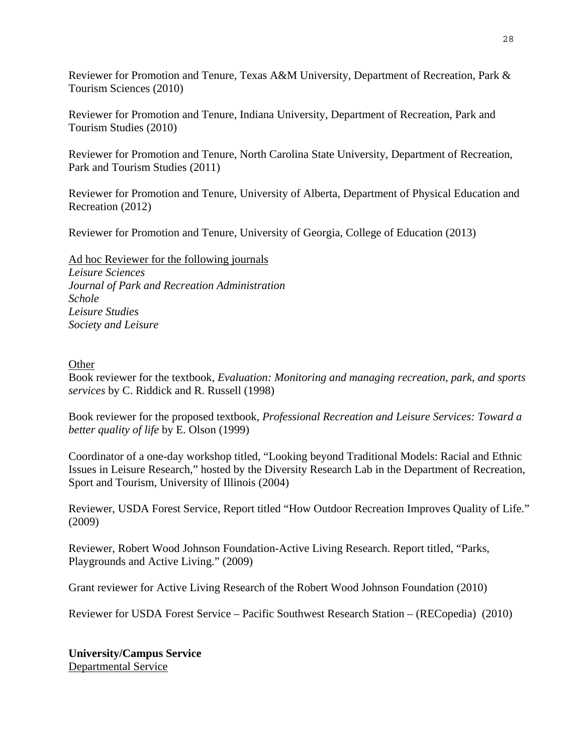Reviewer for Promotion and Tenure, Texas A&M University, Department of Recreation, Park & Tourism Sciences (2010)

Reviewer for Promotion and Tenure, Indiana University, Department of Recreation, Park and Tourism Studies (2010)

Reviewer for Promotion and Tenure, North Carolina State University, Department of Recreation, Park and Tourism Studies (2011)

Reviewer for Promotion and Tenure, University of Alberta, Department of Physical Education and Recreation (2012)

Reviewer for Promotion and Tenure, University of Georgia, College of Education (2013)

Ad hoc Reviewer for the following journals *Leisure Sciences Journal of Park and Recreation Administration Schole Leisure Studies Society and Leisure* 

# **Other**

Book reviewer for the textbook, *Evaluation: Monitoring and managing recreation, park, and sports services* by C. Riddick and R. Russell (1998)

Book reviewer for the proposed textbook*, Professional Recreation and Leisure Services: Toward a better quality of life* by E. Olson (1999)

Coordinator of a one-day workshop titled, "Looking beyond Traditional Models: Racial and Ethnic Issues in Leisure Research," hosted by the Diversity Research Lab in the Department of Recreation, Sport and Tourism, University of Illinois (2004)

Reviewer, USDA Forest Service, Report titled "How Outdoor Recreation Improves Quality of Life." (2009)

Reviewer, Robert Wood Johnson Foundation-Active Living Research. Report titled, "Parks, Playgrounds and Active Living." (2009)

Grant reviewer for Active Living Research of the Robert Wood Johnson Foundation (2010)

Reviewer for USDA Forest Service – Pacific Southwest Research Station – (RECopedia) (2010)

**University/Campus Service**  Departmental Service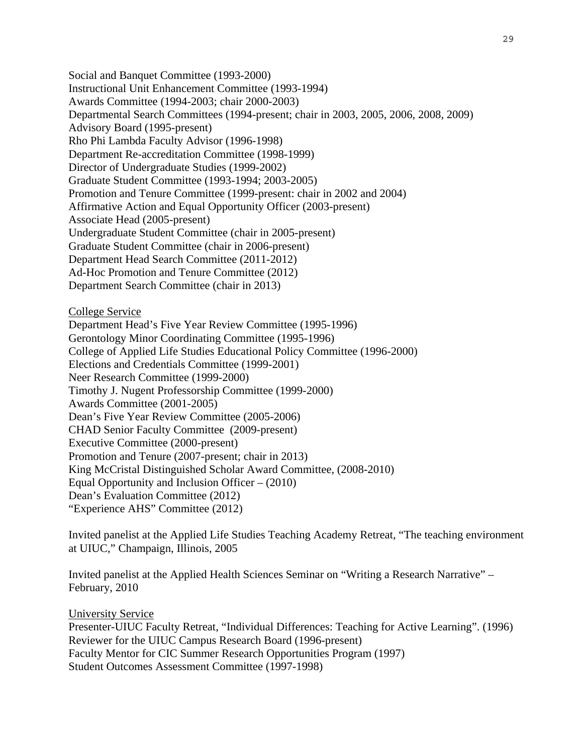Social and Banquet Committee (1993-2000) Instructional Unit Enhancement Committee (1993-1994) Awards Committee (1994-2003; chair 2000-2003) Departmental Search Committees (1994-present; chair in 2003, 2005, 2006, 2008, 2009) Advisory Board (1995-present) Rho Phi Lambda Faculty Advisor (1996-1998) Department Re-accreditation Committee (1998-1999) Director of Undergraduate Studies (1999-2002) Graduate Student Committee (1993-1994; 2003-2005) Promotion and Tenure Committee (1999-present: chair in 2002 and 2004) Affirmative Action and Equal Opportunity Officer (2003-present) Associate Head (2005-present) Undergraduate Student Committee (chair in 2005-present) Graduate Student Committee (chair in 2006-present) Department Head Search Committee (2011-2012) Ad-Hoc Promotion and Tenure Committee (2012) Department Search Committee (chair in 2013)

College Service

Department Head's Five Year Review Committee (1995-1996) Gerontology Minor Coordinating Committee (1995-1996) College of Applied Life Studies Educational Policy Committee (1996-2000) Elections and Credentials Committee (1999-2001) Neer Research Committee (1999-2000) Timothy J. Nugent Professorship Committee (1999-2000) Awards Committee (2001-2005) Dean's Five Year Review Committee (2005-2006) CHAD Senior Faculty Committee (2009-present) Executive Committee (2000-present) Promotion and Tenure (2007-present; chair in 2013) King McCristal Distinguished Scholar Award Committee, (2008-2010) Equal Opportunity and Inclusion Officer – (2010) Dean's Evaluation Committee (2012) "Experience AHS" Committee (2012)

Invited panelist at the Applied Life Studies Teaching Academy Retreat, "The teaching environment at UIUC," Champaign, Illinois, 2005

Invited panelist at the Applied Health Sciences Seminar on "Writing a Research Narrative" – February, 2010

University Service Presenter-UIUC Faculty Retreat, "Individual Differences: Teaching for Active Learning". (1996) Reviewer for the UIUC Campus Research Board (1996-present) Faculty Mentor for CIC Summer Research Opportunities Program (1997) Student Outcomes Assessment Committee (1997-1998)